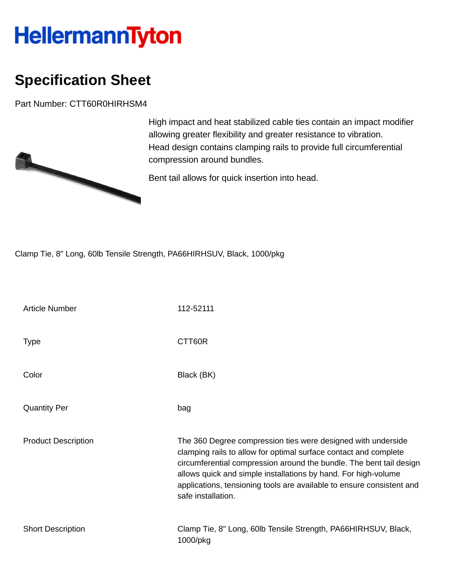## **HellermannTyton**

## **Specification Sheet**

Part Number: CTT60R0HIRHSM4



High impact and heat stabilized cable ties contain an impact modifier allowing greater flexibility and greater resistance to vibration. Head design contains clamping rails to provide full circumferential compression around bundles.

Bent tail allows for quick insertion into head.

Clamp Tie, 8" Long, 60lb Tensile Strength, PA66HIRHSUV, Black, 1000/pkg

| <b>Article Number</b>      | 112-52111                                                                                                                                                                                                                                                                                                                                                                |
|----------------------------|--------------------------------------------------------------------------------------------------------------------------------------------------------------------------------------------------------------------------------------------------------------------------------------------------------------------------------------------------------------------------|
| <b>Type</b>                | CTT60R                                                                                                                                                                                                                                                                                                                                                                   |
| Color                      | Black (BK)                                                                                                                                                                                                                                                                                                                                                               |
| <b>Quantity Per</b>        | bag                                                                                                                                                                                                                                                                                                                                                                      |
| <b>Product Description</b> | The 360 Degree compression ties were designed with underside<br>clamping rails to allow for optimal surface contact and complete<br>circumferential compression around the bundle. The bent tail design<br>allows quick and simple installations by hand. For high-volume<br>applications, tensioning tools are available to ensure consistent and<br>safe installation. |
| <b>Short Description</b>   | Clamp Tie, 8" Long, 60lb Tensile Strength, PA66HIRHSUV, Black,<br>1000/pkg                                                                                                                                                                                                                                                                                               |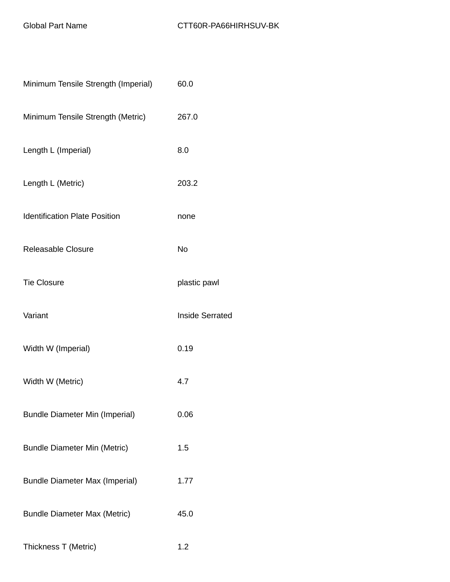| Minimum Tensile Strength (Imperial)   | 60.0                   |
|---------------------------------------|------------------------|
| Minimum Tensile Strength (Metric)     | 267.0                  |
| Length L (Imperial)                   | 8.0                    |
| Length L (Metric)                     | 203.2                  |
| <b>Identification Plate Position</b>  | none                   |
| <b>Releasable Closure</b>             | <b>No</b>              |
| <b>Tie Closure</b>                    | plastic pawl           |
| Variant                               | <b>Inside Serrated</b> |
| Width W (Imperial)                    | 0.19                   |
| Width W (Metric)                      | 4.7                    |
| <b>Bundle Diameter Min (Imperial)</b> | 0.06                   |
| <b>Bundle Diameter Min (Metric)</b>   | 1.5                    |
| <b>Bundle Diameter Max (Imperial)</b> | 1.77                   |
| <b>Bundle Diameter Max (Metric)</b>   | 45.0                   |
| Thickness T (Metric)                  | 1.2                    |